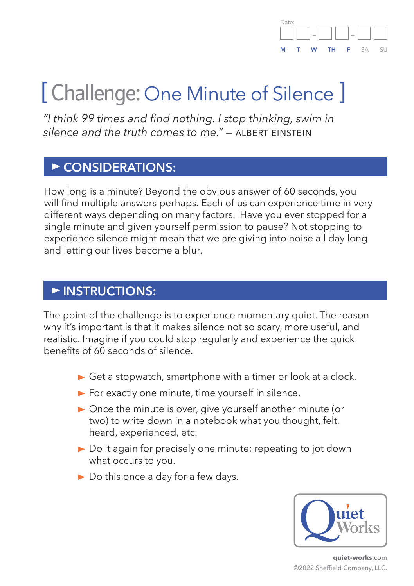#### Date: – – **M T W TH F** SA SU

# [ Challenge: One Minute of Silence ]

*"I think 99 times and find nothing. I stop thinking, swim in*  silence and the truth comes to me<sup>"</sup> - ALBERT EINSTEIN

#### **CONSIDERATIONS:**

How long is a minute? Beyond the obvious answer of 60 seconds, you will find multiple answers perhaps. Each of us can experience time in very different ways depending on many factors. Have you ever stopped for a single minute and given yourself permission to pause? Not stopping to experience silence might mean that we are giving into noise all day long and letting our lives become a blur.

#### **INSTRUCTIONS:**

The point of the challenge is to experience momentary quiet. The reason why it's important is that it makes silence not so scary, more useful, and realistic. Imagine if you could stop regularly and experience the quick benefits of 60 seconds of silence.

- $\triangleright$  Get a stopwatch, smartphone with a timer or look at a clock.
- $\blacktriangleright$  For exactly one minute, time yourself in silence.
- ▶ Once the minute is over, give yourself another minute (or two) to write down in a notebook what you thought, felt, heard, experienced, etc.
- ▶ Do it again for precisely one minute; repeating to jot down what occurs to you.
- ▶ Do this once a day for a few days.